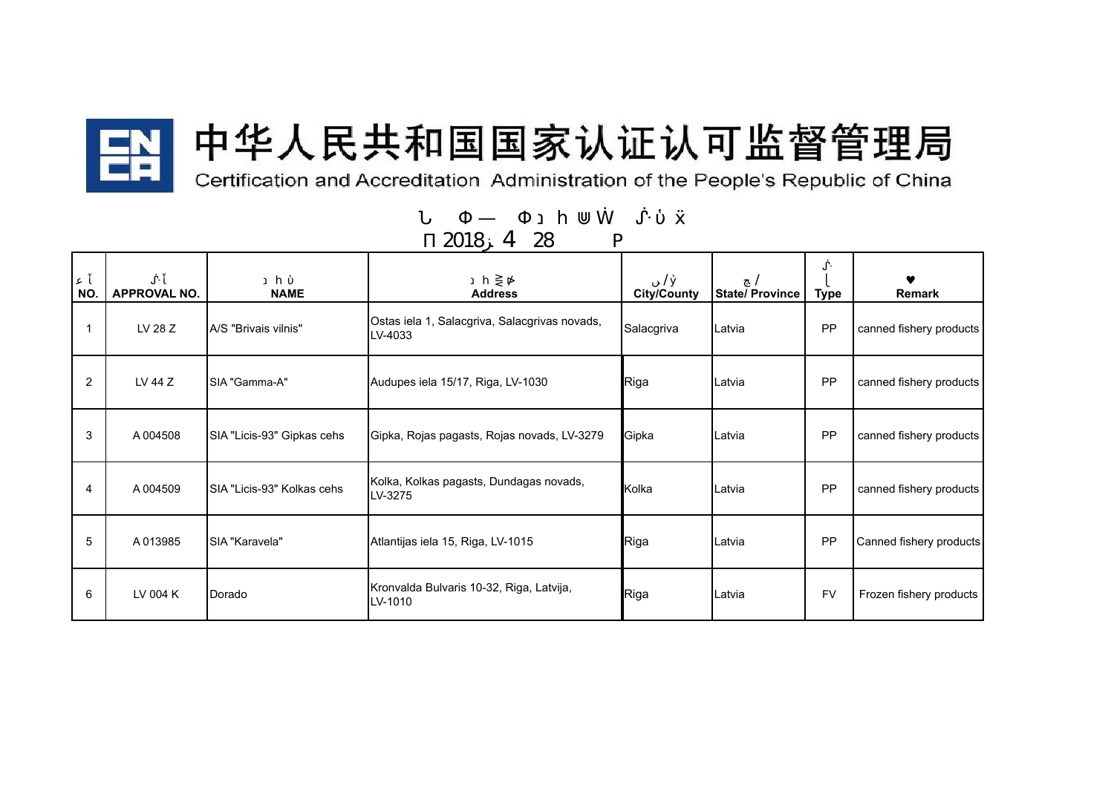

## 中华人民共和国国家认证认可监督管理局

Certification and Accreditation Administration of the People's Republic of China

| NO. | <b>APPROVAL NO.</b> | <b>NAME</b>                 | <b>Address</b>                                           | <b>City/County</b> | <b>State/Province</b> | <b>Type</b> | <b>Remark</b>           |
|-----|---------------------|-----------------------------|----------------------------------------------------------|--------------------|-----------------------|-------------|-------------------------|
|     | LV 28 Z             | A/S "Brivais vilnis"        | Ostas iela 1, Salacgriva, Salacgrivas novads,<br>LV-4033 | Salacgriva         | Latvia                | PP          | canned fishery products |
| 2   | LV 44 Z             | SIA "Gamma-A"               | Audupes iela 15/17, Riga, LV-1030                        | Riga               | Latvia                | PP          | canned fishery products |
| 3   | A004508             | SIA "Licis-93" Gipkas cehs  | Gipka, Rojas pagasts, Rojas novads, LV-3279              | Gipka              | Latvia                | PP          | canned fishery products |
| 4   | A 004509            | ISIA "Licis-93" Kolkas cehs | Kolka, Kolkas pagasts, Dundagas novads,<br>LV-3275       | Kolka              | Latvia                | PP          | canned fishery products |
| 5   | A013985             | SIA "Karavela"              | Atlantijas iela 15, Riga, LV-1015                        | Riga               | Latvia                | PP          | Canned fishery products |
| 6   | LV 004 K            | Dorado                      | Kronvalda Bulvaris 10-32, Riga, Latvija,<br>LV-1010      | Riga               | Latvia                | <b>FV</b>   | Frozen fishery products |

2018 4 28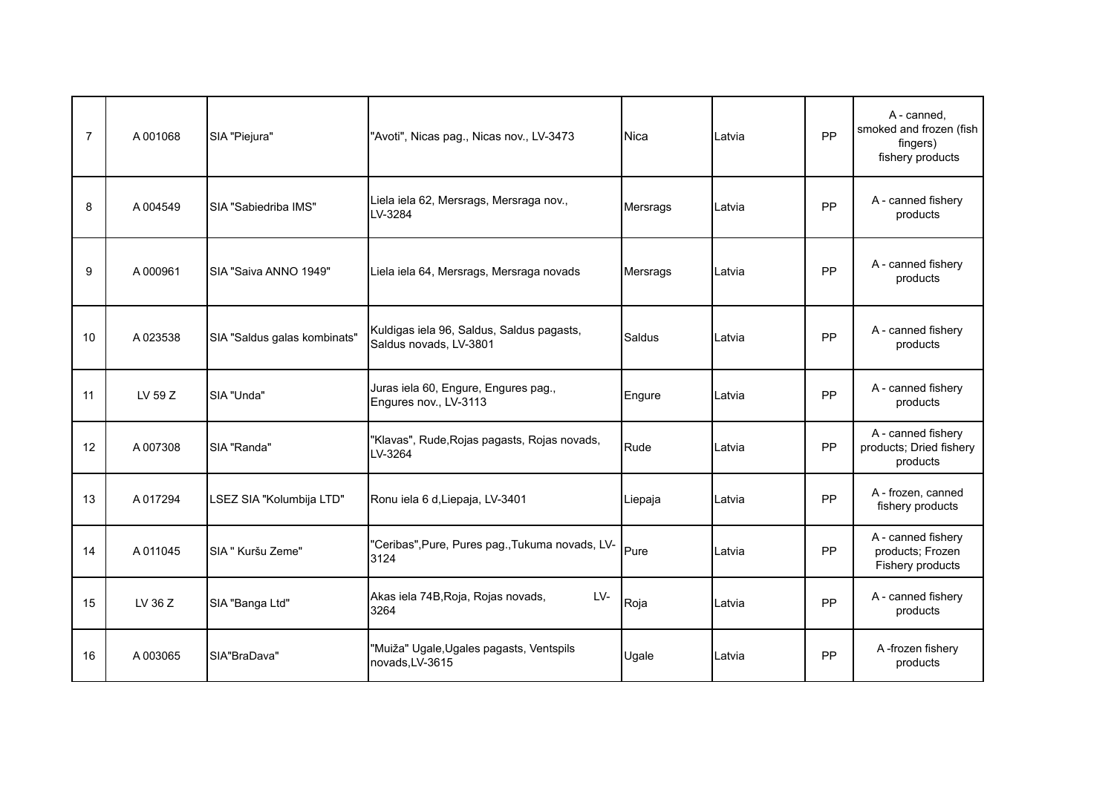| $\overline{7}$ | A001068  | SIA "Piejura"                | "Avoti", Nicas pag., Nicas nov., LV-3473                            | Nica     | Latvia | PP        | A - canned,<br>smoked and frozen (fish<br>fingers)<br>fishery products |
|----------------|----------|------------------------------|---------------------------------------------------------------------|----------|--------|-----------|------------------------------------------------------------------------|
| 8              | A 004549 | <b>SIA "Sabiedriba IMS"</b>  | Liela iela 62, Mersrags, Mersraga nov.,<br>LV-3284                  | Mersrags | Latvia | PP        | A - canned fishery<br>products                                         |
| 9              | A000961  | SIA "Saiva ANNO 1949"        | Liela iela 64, Mersrags, Mersraga novads                            | Mersrags | Latvia | PP        | A - canned fishery<br>products                                         |
| 10             | A023538  | SIA "Saldus galas kombinats" | Kuldigas iela 96, Saldus, Saldus pagasts,<br>Saldus novads, LV-3801 | Saldus   | Latvia | PP        | A - canned fishery<br>products                                         |
| 11             | LV 59 Z  | SIA "Unda"                   | Juras iela 60, Engure, Engures pag.,<br>Engures nov., LV-3113       | Engure   | Latvia | PP        | A - canned fishery<br>products                                         |
| 12             | A007308  | SIA "Randa"                  | "Klavas", Rude, Rojas pagasts, Rojas novads,<br>LV-3264             | Rude     | Latvia | PP        | A - canned fishery<br>products; Dried fishery<br>products              |
| 13             | A017294  | LSEZ SIA "Kolumbija LTD"     | Ronu iela 6 d, Liepaja, LV-3401                                     | Liepaja  | Latvia | PP        | A - frozen, canned<br>fishery products                                 |
| 14             | A011045  | SIA " Kuršu Zeme"            | "Ceribas", Pure, Pures pag., Tukuma novads, LV-<br>3124             | Pure     | Latvia | PP        | A - canned fishery<br>products; Frozen<br>Fishery products             |
| 15             | LV 36 Z  | SIA "Banga Ltd"              | Akas iela 74B, Roja, Rojas novads,<br>$LV-$<br>3264                 | Roja     | Latvia | <b>PP</b> | A - canned fishery<br>products                                         |
| 16             | A003065  | SIA"BraDava"                 | "Muiža" Ugale, Ugales pagasts, Ventspils<br>novads, LV-3615         | Ugale    | Latvia | PP        | A-frozen fishery<br>products                                           |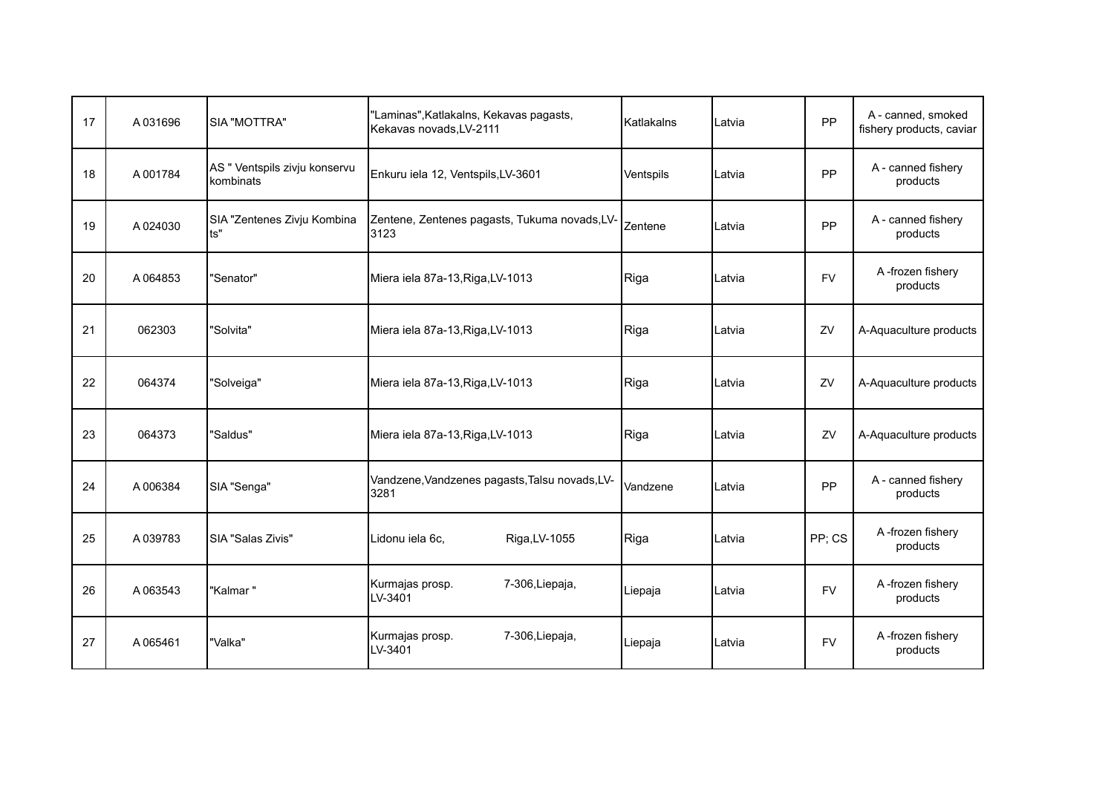| 17 | A031696 | <b>SIA "MOTTRA"</b>                        | "Laminas", Katlakalns, Kekavas pagasts,<br>Kekavas novads, LV-2111 | Katlakalns | Latvia | PP        | A - canned, smoked<br>fishery products, caviar |
|----|---------|--------------------------------------------|--------------------------------------------------------------------|------------|--------|-----------|------------------------------------------------|
| 18 | A001784 | AS " Ventspils zivju konservu<br>kombinats | Enkuru iela 12, Ventspils, LV-3601                                 | Ventspils  | Latvia | PP        | A - canned fishery<br>products                 |
| 19 | A024030 | SIA "Zentenes Zivju Kombina<br>ts"         | Zentene, Zentenes pagasts, Tukuma novads, LV-<br>3123              | Zentene    | Latvia | PP        | A - canned fishery<br>products                 |
| 20 | A064853 | "Senator"                                  | Miera iela 87a-13, Riga, LV-1013                                   | Riga       | Latvia | <b>FV</b> | A-frozen fishery<br>products                   |
| 21 | 062303  | "Solvita"                                  | Miera iela 87a-13, Riga, LV-1013                                   | Riga       | Latvia | ZV        | A-Aquaculture products                         |
| 22 | 064374  | "Solveiga"                                 | Miera iela 87a-13, Riga, LV-1013                                   | Riga       | Latvia | ZV        | A-Aquaculture products                         |
| 23 | 064373  | "Saldus"                                   | Miera iela 87a-13, Riga, LV-1013                                   | Riga       | Latvia | ZV        | A-Aquaculture products                         |
| 24 | A006384 | SIA "Senga"                                | Vandzene, Vandzenes pagasts, Talsu novads, LV-<br>3281             | Vandzene   | Latvia | PP        | A - canned fishery<br>products                 |
| 25 | A039783 | SIA "Salas Zivis"                          | Lidonu iela 6c,<br>Riga, LV-1055                                   | Riga       | Latvia | PP; CS    | A-frozen fishery<br>products                   |
| 26 | A063543 | "Kalmar "                                  | Kurmajas prosp.<br>7-306, Liepaja,<br>LV-3401                      | Liepaja    | Latvia | <b>FV</b> | A-frozen fishery<br>products                   |
| 27 | A065461 | "Valka"                                    | Kurmajas prosp.<br>7-306, Liepaja,<br>LV-3401                      | Liepaja    | Latvia | <b>FV</b> | A-frozen fishery<br>products                   |